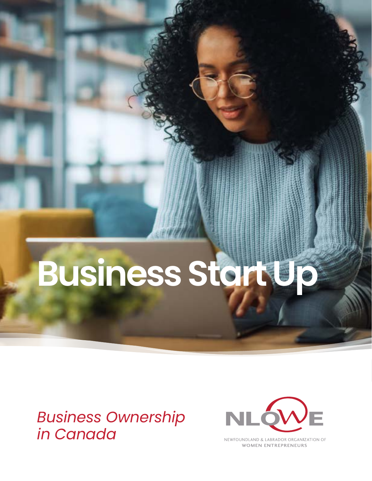# **Business Start Up**

# *Business Ownership in Canada*



NEWFOUNDLAND & LABRADOR ORGANIZATION OF **WOMEN ENTREPRENEURS**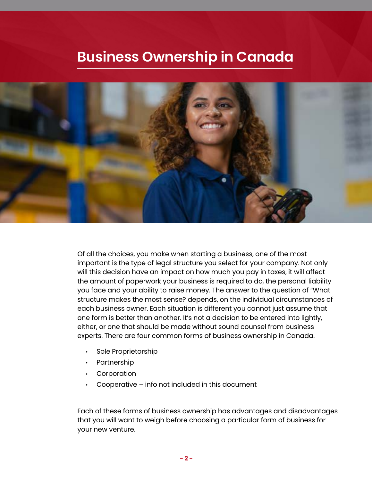# **Business Ownership in Canada**



Of all the choices, you make when starting a business, one of the most important is the type of legal structure you select for your company. Not only will this decision have an impact on how much you pay in taxes, it will affect the amount of paperwork your business is required to do, the personal liability you face and your ability to raise money. The answer to the question of "What structure makes the most sense? depends, on the individual circumstances of each business owner. Each situation is different you cannot just assume that one form is better than another. It's not a decision to be entered into lightly, either, or one that should be made without sound counsel from business experts. There are four common forms of business ownership in Canada.

- Sole Proprietorship
- Partnership
- Corporation
- Cooperative  $-$  info not included in this document

Each of these forms of business ownership has advantages and disadvantages that you will want to weigh before choosing a particular form of business for your new venture.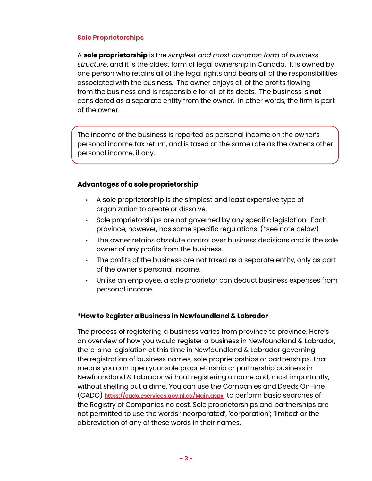# **Sole Proprietorships**

A **sole proprietorship** is the *simplest and most common form of business structure*, and it is the oldest form of legal ownership in Canada. It is owned by one person who retains all of the legal rights and bears all of the responsibilities associated with the business. The owner enjoys all of the profits flowing from the business and is responsible for all of its debts. The business is **not** considered as a separate entity from the owner. In other words, the firm is part of the owner.

The income of the business is reported as personal income on the owner's personal income tax return, and is taxed at the same rate as the owner's other personal income, if any.

### **Advantages of a sole proprietorship**

- A sole proprietorship is the simplest and least expensive type of organization to create or dissolve.
- Sole proprietorships are not governed by any specific legislation. Each province, however, has some specific regulations. (\*see note below)
- The owner retains absolute control over business decisions and is the sole owner of any profits from the business.
- The profits of the business are not taxed as a separate entity, only as part of the owner's personal income.
- Unlike an employee, a sole proprietor can deduct business expenses from personal income.

# **\*How to Register a Business in Newfoundland & Labrador**

The process of registering a business varies from province to province. Here's an overview of how you would register a business in Newfoundland & Labrador, there is no legislation at this time in Newfoundland & Labrador governing the registration of business names, sole proprietorships or partnerships. That means you can open your sole proprietorship or partnership business in Newfoundland & Labrador without registering a name and, most importantly, without shelling out a dime. You can use the Companies and Deeds On-line (CADO) **<https://cado.eservices.gov.nl.ca/Main.aspx>** to perform basic searches of the Registry of Companies no cost. Sole proprietorships and partnerships are not permitted to use the words 'incorporated', 'corporation'; 'limited' or the abbreviation of any of these words in their names.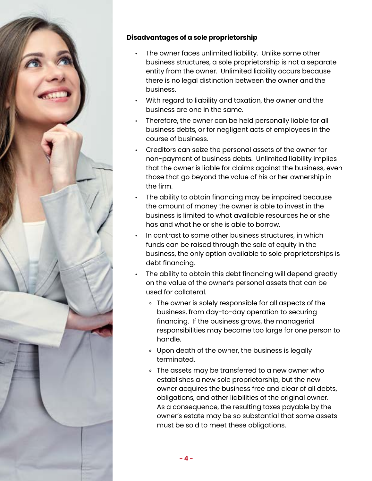

# **Disadvantages of a sole proprietorship**

- The owner faces unlimited liability. Unlike some other business structures, a sole proprietorship is not a separate entity from the owner. Unlimited liability occurs because there is no legal distinction between the owner and the business.
- With regard to liability and taxation, the owner and the business are one in the same.
- Therefore, the owner can be held personally liable for all business debts, or for negligent acts of employees in the course of business.
- Creditors can seize the personal assets of the owner for non-payment of business debts. Unlimited liability implies that the owner is liable for claims against the business, even those that go beyond the value of his or her ownership in the firm.
- The ability to obtain financing may be impaired because the amount of money the owner is able to invest in the business is limited to what available resources he or she has and what he or she is able to borrow.
- In contrast to some other business structures, in which funds can be raised through the sale of equity in the business, the only option available to sole proprietorships is debt financing.
- The ability to obtain this debt financing will depend greatly on the value of the owner's personal assets that can be used for collateral.
	- ◊ The owner is solely responsible for all aspects of the business, from day-to-day operation to securing financing. If the business grows, the managerial responsibilities may become too large for one person to handle.
	- ◊ Upon death of the owner, the business is legally terminated.
	- ◊ The assets may be transferred to a new owner who establishes a new sole proprietorship, but the new owner acquires the business free and clear of all debts, obligations, and other liabilities of the original owner. As a consequence, the resulting taxes payable by the owner's estate may be so substantial that some assets must be sold to meet these obligations.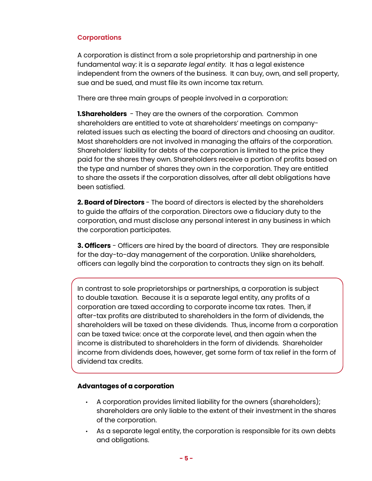# **Corporations**

A corporation is distinct from a sole proprietorship and partnership in one fundamental way: it is a *separate legal entity.* It has a legal existence independent from the owners of the business. It can buy, own, and sell property, sue and be sued, and must file its own income tax return.

There are three main groups of people involved in a corporation:

**1. Shareholders** - They are the owners of the corporation. Common shareholders are entitled to vote at shareholders' meetings on companyrelated issues such as electing the board of directors and choosing an auditor. Most shareholders are not involved in managing the affairs of the corporation. Shareholders' liability for debts of the corporation is limited to the price they paid for the shares they own. Shareholders receive a portion of profits based on the type and number of shares they own in the corporation. They are entitled to share the assets if the corporation dissolves, after all debt obligations have been satisfied.

**2. Board of Directors** - The board of directors is elected by the shareholders to guide the affairs of the corporation. Directors owe a fiduciary duty to the corporation, and must disclose any personal interest in any business in which the corporation participates.

**3. Officers** - Officers are hired by the board of directors. They are responsible for the day-to-day management of the corporation. Unlike shareholders, officers can legally bind the corporation to contracts they sign on its behalf.

In contrast to sole proprietorships or partnerships, a corporation is subject to double taxation. Because it is a separate legal entity, any profits of a corporation are taxed according to corporate income tax rates. Then, if after-tax profits are distributed to shareholders in the form of dividends, the shareholders will be taxed on these dividends. Thus, income from a corporation can be taxed twice: once at the corporate level, and then again when the income is distributed to shareholders in the form of dividends. Shareholder income from dividends does, however, get some form of tax relief in the form of dividend tax credits.

# **Advantages of a corporation**

- A corporation provides limited liability for the owners (shareholders); shareholders are only liable to the extent of their investment in the shares of the corporation.
- As a separate legal entity, the corporation is responsible for its own debts and obligations.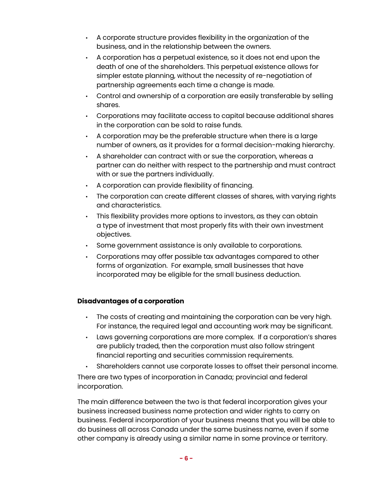- A corporate structure provides flexibility in the organization of the business, and in the relationship between the owners.
- A corporation has a perpetual existence, so it does not end upon the death of one of the shareholders. This perpetual existence allows for simpler estate planning, without the necessity of re-negotiation of partnership agreements each time a change is made.
- Control and ownership of a corporation are easily transferable by selling shares.
- Corporations may facilitate access to capital because additional shares in the corporation can be sold to raise funds.
- A corporation may be the preferable structure when there is a large number of owners, as it provides for a formal decision-making hierarchy.
- A shareholder can contract with or sue the corporation, whereas a partner can do neither with respect to the partnership and must contract with or sue the partners individually.
- A corporation can provide flexibility of financing.
- The corporation can create different classes of shares, with varying rights and characteristics.
- This flexibility provides more options to investors, as they can obtain a type of investment that most properly fits with their own investment objectives.
- Some government assistance is only available to corporations.
- Corporations may offer possible tax advantages compared to other forms of organization. For example, small businesses that have incorporated may be eligible for the small business deduction.

# **Disadvantages of a corporation**

- The costs of creating and maintaining the corporation can be very high. For instance, the required legal and accounting work may be significant.
- Laws governing corporations are more complex. If a corporation's shares are publicly traded, then the corporation must also follow stringent financial reporting and securities commission requirements.
- Shareholders cannot use corporate losses to offset their personal income.

There are two types of incorporation in Canada; provincial and federal incorporation.

The main difference between the two is that federal incorporation gives your business increased business name protection and wider rights to carry on business. Federal incorporation of your business means that you will be able to do business all across Canada under the same business name, even if some other company is already using a similar name in some province or territory.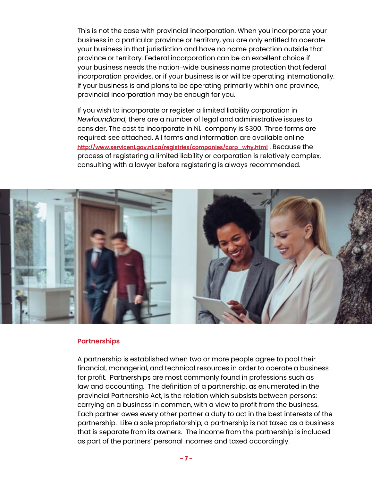This is not the case with provincial incorporation. When you incorporate your business in a particular province or territory, you are only entitled to operate your business in that jurisdiction and have no name protection outside that province or territory. Federal incorporation can be an excellent choice if your business needs the nation-wide business name protection that federal incorporation provides, or if your business is or will be operating internationally. If your business is and plans to be operating primarily within one province, provincial incorporation may be enough for you.

If you wish to incorporate or register a limited liability corporation in *Newfoundland*, there are a number of legal and administrative issues to consider. The cost to incorporate in NL company is \$300. Three forms are required: see attached. All forms and information are available online **[http://www.servicenl.gov.nl.ca/registries/companies/corp\\_why.html](http://www.servicenl.gov.nl.ca/registries/companies/corp_why.html)** . Because the process of registering a limited liability or corporation is relatively complex, consulting with a lawyer before registering is always recommended.



#### **Partnerships**

A partnership is established when two or more people agree to pool their financial, managerial, and technical resources in order to operate a business for profit. Partnerships are most commonly found in professions such as law and accounting. The definition of a partnership, as enumerated in the provincial Partnership Act, is the relation which subsists between persons: carrying on a business in common, with a view to profit from the business. Each partner owes every other partner a duty to act in the best interests of the partnership. Like a sole proprietorship, a partnership is not taxed as a business that is separate from its owners. The income from the partnership is included as part of the partners' personal incomes and taxed accordingly.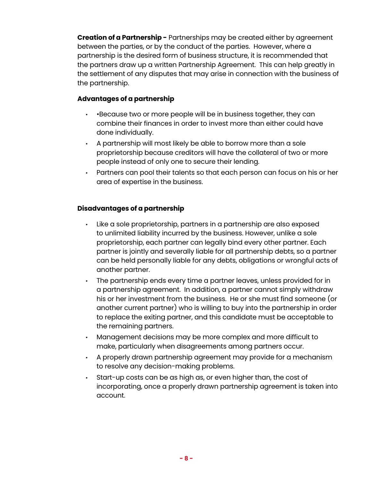**Creation of a Partnership -** Partnerships may be created either by agreement between the parties, or by the conduct of the parties. However, where a partnership is the desired form of business structure, it is recommended that the partners draw up a written Partnership Agreement. This can help greatly in the settlement of any disputes that may arise in connection with the business of the partnership.

# **Advantages of a partnership**

- •Because two or more people will be in business together, they can combine their finances in order to invest more than either could have done individually.
- A partnership will most likely be able to borrow more than a sole proprietorship because creditors will have the collateral of two or more people instead of only one to secure their lending.
- Partners can pool their talents so that each person can focus on his or her area of expertise in the business.

# **Disadvantages of a partnership**

- Like a sole proprietorship, partners in a partnership are also exposed to unlimited liability incurred by the business. However, unlike a sole proprietorship, each partner can legally bind every other partner. Each partner is jointly and severally liable for all partnership debts, so a partner can be held personally liable for any debts, obligations or wrongful acts of another partner.
- The partnership ends every time a partner leaves, unless provided for in a partnership agreement. In addition, a partner cannot simply withdraw his or her investment from the business. He or she must find someone (or another current partner) who is willing to buy into the partnership in order to replace the exiting partner, and this candidate must be acceptable to the remaining partners.
- Management decisions may be more complex and more difficult to make, particularly when disagreements among partners occur.
- A properly drawn partnership agreement may provide for a mechanism to resolve any decision-making problems.
- Start-up costs can be as high as, or even higher than, the cost of incorporating, once a properly drawn partnership agreement is taken into account.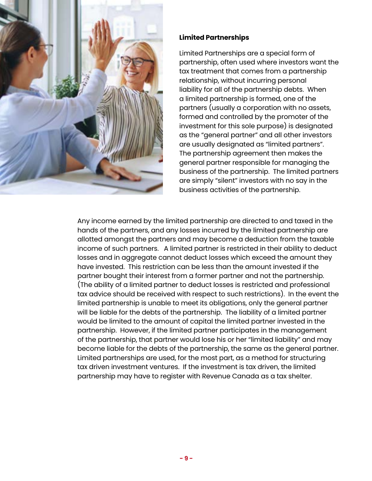

# **Limited Partnerships**

Limited Partnerships are a special form of partnership, often used where investors want the tax treatment that comes from a partnership relationship, without incurring personal liability for all of the partnership debts. When a limited partnership is formed, one of the partners (usually a corporation with no assets, formed and controlled by the promoter of the investment for this sole purpose) is designated as the "general partner" and all other investors are usually designated as "limited partners". The partnership agreement then makes the general partner responsible for managing the business of the partnership. The limited partners are simply "silent" investors with no say in the business activities of the partnership.

Any income earned by the limited partnership are directed to and taxed in the hands of the partners, and any losses incurred by the limited partnership are allotted amongst the partners and may become a deduction from the taxable income of such partners. A limited partner is restricted in their ability to deduct losses and in aggregate cannot deduct losses which exceed the amount they have invested. This restriction can be less than the amount invested if the partner bought their interest from a former partner and not the partnership. (The ability of a limited partner to deduct losses is restricted and professional tax advice should be received with respect to such restrictions). In the event the limited partnership is unable to meet its obligations, only the general partner will be liable for the debts of the partnership. The liability of a limited partner would be limited to the amount of capital the limited partner invested in the partnership. However, if the limited partner participates in the management of the partnership, that partner would lose his or her "limited liability" and may become liable for the debts of the partnership, the same as the general partner. Limited partnerships are used, for the most part, as a method for structuring tax driven investment ventures. If the investment is tax driven, the limited partnership may have to register with Revenue Canada as a tax shelter.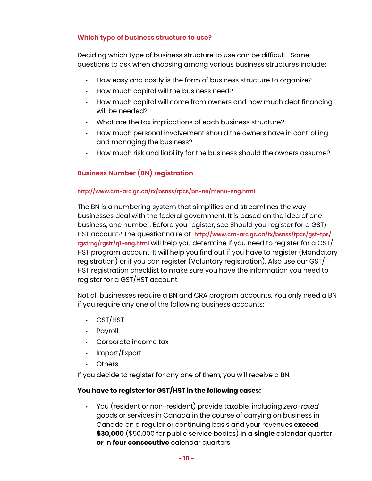# **Which type of business structure to use?**

Deciding which type of business structure to use can be difficult. Some questions to ask when choosing among various business structures include:

- How easy and costly is the form of business structure to organize?
- How much capital will the business need?
- How much capital will come from owners and how much debt financing will be needed?
- What are the tax implications of each business structure?
- How much personal involvement should the owners have in controlling and managing the business?
- How much risk and liability for the business should the owners assume?

# **Business Number (BN) registration**

# **<http://www.cra-arc.gc.ca/tx/bsnss/tpcs/bn-ne/menu-eng.html>**

The BN is a numbering system that simplifies and streamlines the way businesses deal with the federal government. It is based on the idea of one business, one number. Before you register, see Should you register for a GST/ HST account? The questionnaire at **[http://www.cra-arc.gc.ca/tx/bsnss/tpcs/gst-tps/](http://www.cra-arc.gc.ca/tx/bsnss/tpcs/gst-tps/rgstrng/rgstr/q1-eng.html) [rgstrng/rgstr/q1-eng.html](http://www.cra-arc.gc.ca/tx/bsnss/tpcs/gst-tps/rgstrng/rgstr/q1-eng.html)** will help you determine if you need to register for a GST/ HST program account. It will help you find out if you have to register (Mandatory registration) or if you can register (Voluntary registration). Also use our GST/ HST registration checklist to make sure you have the information you need to register for a GST/HST account.

Not all businesses require a BN and CRA program accounts. You only need a BN if you require any one of the following business accounts:

- GST/HST
- Payroll
- Corporate income tax
- Import/Export
- Others

If you decide to register for any one of them, you will receive a BN.

# **You have to register for GST/HST in the following cases:**

• You (resident or non-resident) provide taxable, including *zero-rated* goods or services in Canada in the course of carrying on business in Canada on a regular or continuing basis and your revenues **exceed \$30,000** (\$50,000 for public service bodies) in a **single** calendar quarter **or** in **four consecutive** calendar quarters